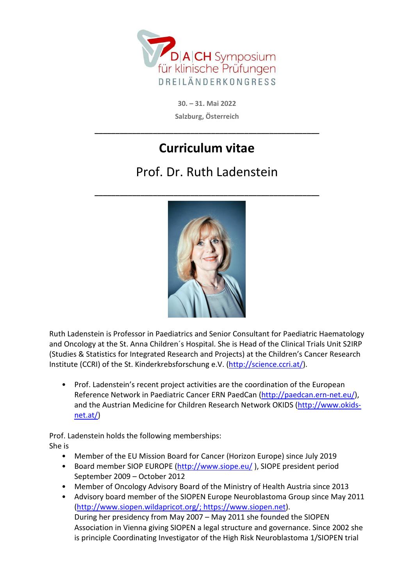

**30. – 31. Mai 2022 Salzburg, Österreich** 

**\_\_\_\_\_\_\_\_\_\_\_\_\_\_\_\_\_\_\_\_\_\_\_\_\_\_\_\_\_\_\_\_\_\_\_\_\_\_\_\_\_\_\_\_\_\_\_\_\_\_\_\_\_\_** 

## **Curriculum vitae**

## Prof. Dr. Ruth Ladenstein

**\_\_\_\_\_\_\_\_\_\_\_\_\_\_\_\_\_\_\_\_\_\_\_\_\_\_\_\_\_\_\_\_\_\_\_\_\_\_\_\_\_\_\_\_\_\_\_\_\_\_\_\_\_\_** 



Ruth Ladenstein is Professor in Paediatrics and Senior Consultant for Paediatric Haematology and Oncology at the St. Anna Children´s Hospital. She is Head of the Clinical Trials Unit S2IRP (Studies & Statistics for Integrated Research and Projects) at the Children's Cancer Research Institute (CCRI) of the St. Kinderkrebsforschung e.V. (http://science.ccri.at/).

• Prof. Ladenstein's recent project activities are the coordination of the European Reference Network in Paediatric Cancer ERN PaedCan (http://paedcan.ern-net.eu/), and the Austrian Medicine for Children Research Network OKIDS (http://www.okidsnet.at/)

Prof. Ladenstein holds the following memberships:

She is

- Member of the EU Mission Board for Cancer (Horizon Europe) since July 2019
- Board member SIOP EUROPE (http://www.siope.eu/), SIOPE president period September 2009 – October 2012
- Member of Oncology Advisory Board of the Ministry of Health Austria since 2013
- Advisory board member of the SIOPEN Europe Neuroblastoma Group since May 2011 (http://www.siopen.wildapricot.org/; https://www.siopen.net). During her presidency from May 2007 – May 2011 she founded the SIOPEN Association in Vienna giving SIOPEN a legal structure and governance. Since 2002 she is principle Coordinating Investigator of the High Risk Neuroblastoma 1/SIOPEN trial